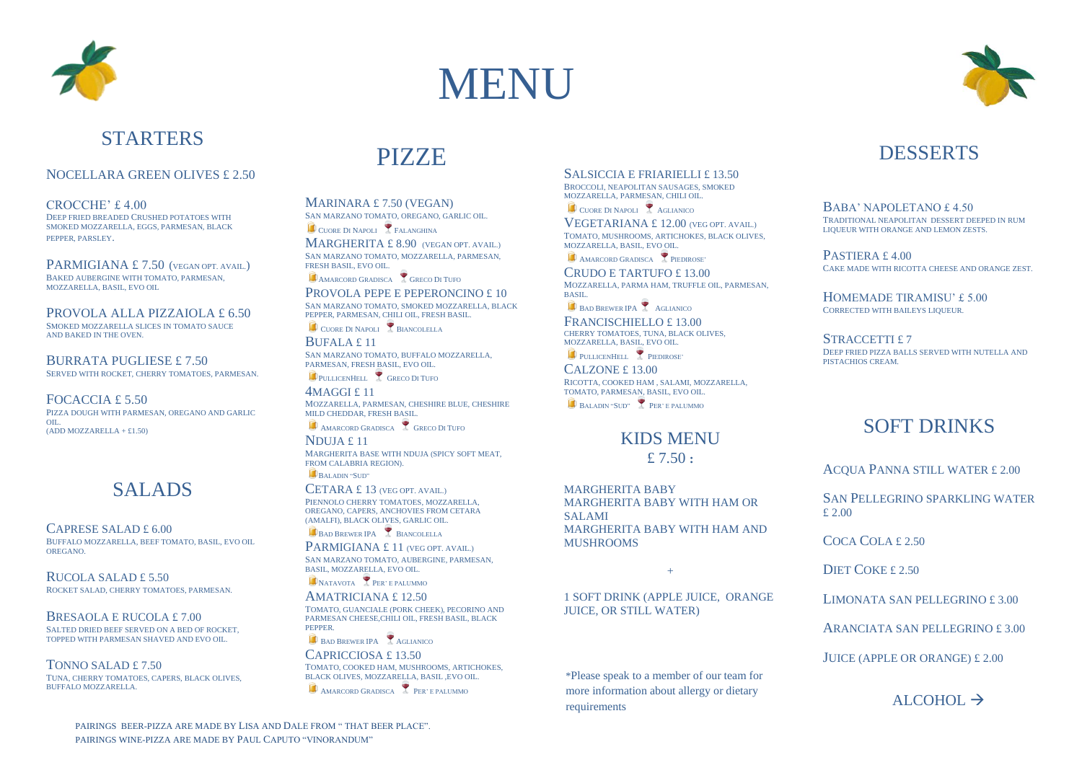



## **STARTERS**

#### NOCELLARA GREEN OLIVES £ 2.50

CROCCHE' £ 4.00 DEEP FRIED BREADED CRUSHED POTATOES WITH SMOKED MOZZARELLA, EGGS, PARMESAN, BLACK PEPPER, PARSLEY.

PARMIGIANA £7.50 (VEGAN OPT. AVAIL.) BAKED AUBERGINE WITH TOMATO, PARMESAN MOZZARELLA, BASIL, EVO OIL

PROVOLA ALLA PIZZAIOLA £ 6.50 SMOKED MOZZARELLA SLICES IN TOMATO SAUCE AND BAKED IN THE OVEN.

BURRATA PUGLIESE £ 7.50 SERVED WITH ROCKET, CHERRY TOMATOES, PARMESAN.

FOCACCIA £ 5.50 PIZZA DOUGH WITH PARMESAN, OREGANO AND GARLIC  $\alpha$ III  $(ADD MOZZARELLA + £1.50)$ 

## SALADS

CAPRESE SALAD £ 6.00 BUFFALO MOZZARELLA, BEEF TOMATO, BASIL, EVO OIL OREGANO.

RUCOLA SALAD £ 5.50 ROCKET SALAD, CHERRY TOMATOES, PARMESAN.

BRESAOLA E RUCOLA £ 7.00 SALTED DRIED BEEF SERVED ON A BED OF ROCKET, TOPPED WITH PARMESAN SHAVED AND EVO OIL.

TONNO SALAD £ 7.50 TUNA, CHERRY TOMATOES, CAPERS, BLACK OLIVES, BUFFALO MOZZARELLA

# PIZZE

MARINARA £ 7.50 (VEGAN) SAN MARZANO TOMATO, OREGANO, GARLIC OIL.

CUORE DI NAPOLI FALANGHINA MARGHERITA £ 8.90 (VEGAN OPT. AVAIL.) SAN MARZANO TOMATO, MOZZARELLA, PARMESAN, FRESH BASIL, EVO OIL.

**CAMARCORD GRADISCA** GRECO DI TUFO

PROVOLA PEPE E PEPERONCINO £ 10 SAN MARZANO TOMATO, SMOKED MOZZARELLA, BLACK PEPPER, PARMESAN, CHILI OIL, FRESH BASIL.

CUORE DI NAPOLI RIANCOLELLA

BUFALA £ 11 SAN MARZANO TOMATO, BUFFALO MOZZARELLA, PARMESAN, FRESH BASIL, EVO OIL.

PULLICENHELL GRECO DI TUFO

4MAGGI £ 11 MOZZARELLA, PARMESAN, CHESHIRE BLUE, CHESHIRE MILD CHEDDAR, FRESH BASIL.

**AMARCORD GRADISCA** GRECO DI TUFO NDUJA £ 11 MARGHERITA BASE WITH NDUJA (SPICY SOFT MEAT,

FROM CALABRIA REGION). B<sub>ALADIN</sub> "SUD"

CETARA £ 13 (VEG OPT. AVAIL.) PIENNOLO CHERRY TOMATOES, MOZZARELLA, OREGANO, CAPERS, ANCHOVIES FROM CETARA (AMALFI), BLACK OLIVES, GARLIC OIL.

B<sub>BAD</sub> BREWER IPA BIANCOLELLA

PARMIGIANA £ 11 (VEG OPT. AVAIL.) SAN MARZANO TOMATO, AUBERGINE, PARMESAN, BASIL, MOZZARELLA, EVO OIL.

NATAVOTA PER' E PALUMMO

AMATRICIANA £ 12.50 TOMATO, GUANCIALE (PORK CHEEK), PECORINO AND PARMESAN CHEESE,CHILI OIL, FRESH BASIL, BLACK PEPPER.

BAD BREWER IPA AGLIANICO CAPRICCIOSA £ 13.50 TOMATO, COOKED HAM, MUSHROOMS, ARTICHOKES, BLACK OLIVES, MOZZARELLA, BASIL ,EVO OIL. AMARCORD GRADISCA PER' E PALUMMO

#### SALSICCIA E FRIARIELLI £ 13.50

BROCCOLI, NEAPOLITAN SAUSAGES, SMOKED MOZZARELLA, PARMESAN, CHILI OIL.

CUORE DI NAPOLI AGLIANICO VEGETARIANA £ 12.00 (VEG OPT. AVAIL.)

TOMATO, MUSHROOMS, ARTICHOKES, BLACK OLIVES, MOZZARELLA, BASIL, EVO OIL.

AMARCORD GRADISCA PIEDIROSE'

CRUDO E TARTUFO £ 13.00 MOZZARELLA, PARMA HAM, TRUFFLE OIL, PARMESAN, **BASIL** BAD BREWER IPA AGLIANICO

FRANCISCHIELLO £ 13.00 CHERRY TOMATOES, TUNA, BLACK OLIVES, MOZZARELLA, BASIL, EVO OIL.

PULLICENHELL PIEDIROSE'

CALZONE £ 13.00 RICOTTA, COOKED HAM , SALAMI, MOZZARELLA, TOMATO, PARMESAN, BASIL, EVO OIL. BALADIN "SUD" PER' E PALUMMO

### KIDS MENU £ 7.50 **:**

MARGHERITA BABY MARGHERITA BABY WITH HAM OR SALAMI MARGHERITA BABY WITH HAM AND MUSHROOMS

 $+$ 

1 SOFT DRINK (APPLE JUICE, ORANGE JUICE, OR STILL WATER)

\*Please speak to a member of our team for more information about allergy or dietary requirements



### DESSERTS

BABA' NAPOLETANO £ 4.50 TRADITIONAL NEAPOLITAN DESSERT DEEPED IN RUM LIQUEUR WITH ORANGE AND LEMON ZESTS.

PASTIERA £ 4.00 CAKE MADE WITH RICOTTA CHEESE AND ORANGE ZEST.

HOMEMADE TIRAMISU' £ 5.00 CORRECTED WITH BAILEYS LIQUEUR.

STRACCETTI £7 DEEP FRIED PIZZA BALLS SERVED WITH NUTELLA AND PISTACHIOS CREAM.

## SOFT DRINKS

ACQUA PANNA STILL WATER £ 2.00

SAN PELLEGRINO SPARKLING WATER £ 2.00

COCA COLA £ 2.50

DIET COKE £ 2.50

LIMONATA SAN PELLEGRINO £ 3.00

ARANCIATA SAN PELLEGRINO £ 3.00

JUICE (APPLE OR ORANGE) £ 2.00

ALCOHOL  $\rightarrow$